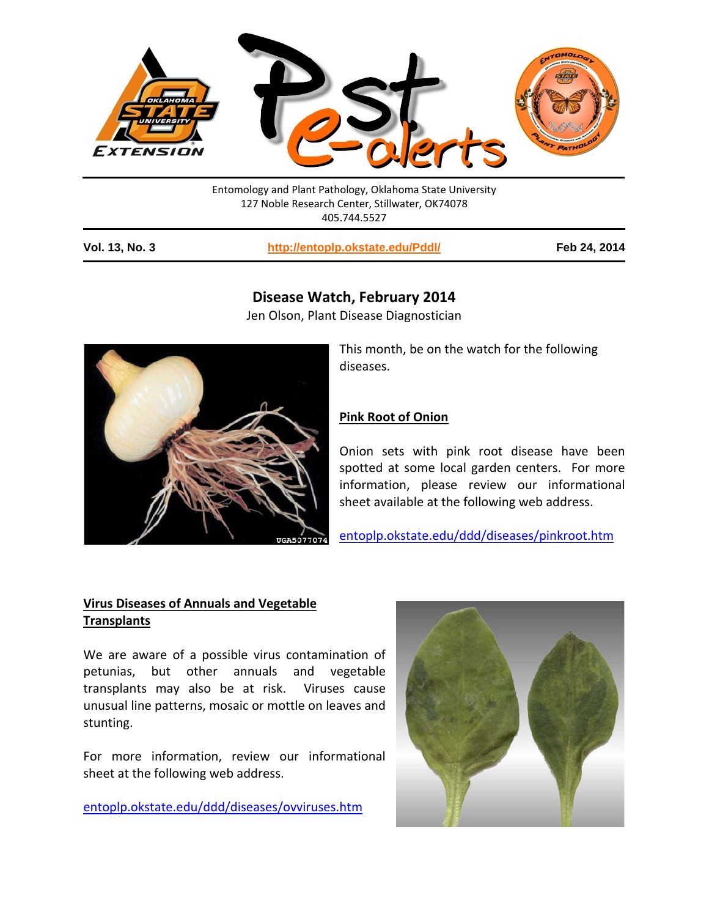

| <b>Vol. 13, No. 3</b> | http://entoplp.okstate.edu/Pddl/                               | Feb 24, 2014 |
|-----------------------|----------------------------------------------------------------|--------------|
|                       | 127 Noble Research Center, Stillwater, OK74078<br>405.744.5527 |              |
|                       | Entomology and Plant Pathology, Oklahoma State University      |              |

# **Disease Watch, February 2014**

Jen Olson, Plant Disease Diagnostician



This month, be on the watch for the following diseases.

### **Pink Root of Onion**

Onion sets with pink root disease have been spotted at some local garden centers. For more information, please review our informational sheet available at the following web address.

[entoplp.okstate.edu/ddd/diseases/pinkroot.htm](http://entoweb.okstate.edu/ddd/diseases/pinkroot.htm)

## **Virus Diseases of Annuals and Vegetable Transplants**

We are aware of a possible virus contamination of petunias, but other annuals and vegetable transplants may also be at risk. Viruses cause unusual line patterns, mosaic or mottle on leaves and stunting.

For more information, review our informational sheet at the following web address.

[entoplp.okstate.edu/ddd/diseases/ovviruses.htm](http://entoweb.okstate.edu/ddd/diseases/ovviruses.htm)